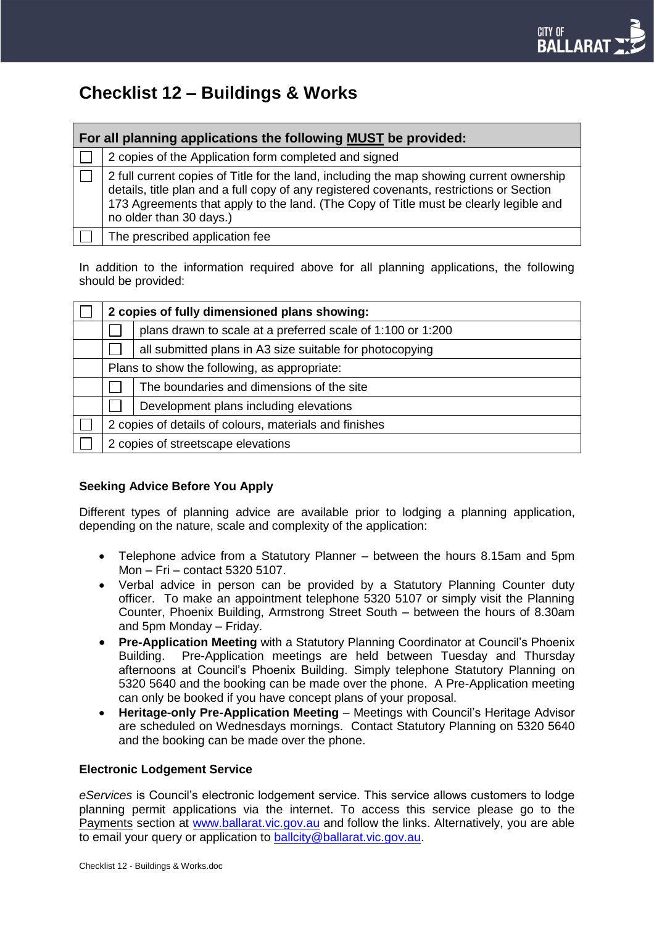

# **Checklist 12 – Buildings & Works**

| For all planning applications the following MUST be provided: |                                                                                                                                                                                                                                                                                                          |  |  |
|---------------------------------------------------------------|----------------------------------------------------------------------------------------------------------------------------------------------------------------------------------------------------------------------------------------------------------------------------------------------------------|--|--|
|                                                               | 2 copies of the Application form completed and signed                                                                                                                                                                                                                                                    |  |  |
|                                                               | 2 full current copies of Title for the land, including the map showing current ownership<br>details, title plan and a full copy of any registered covenants, restrictions or Section<br>173 Agreements that apply to the land. (The Copy of Title must be clearly legible and<br>no older than 30 days.) |  |  |
|                                                               | The prescribed application fee                                                                                                                                                                                                                                                                           |  |  |

In addition to the information required above for all planning applications, the following should be provided:

| 2 copies of fully dimensioned plans showing:           |                                                             |  |
|--------------------------------------------------------|-------------------------------------------------------------|--|
|                                                        | plans drawn to scale at a preferred scale of 1:100 or 1:200 |  |
|                                                        | all submitted plans in A3 size suitable for photocopying    |  |
| Plans to show the following, as appropriate:           |                                                             |  |
|                                                        | The boundaries and dimensions of the site                   |  |
|                                                        | Development plans including elevations                      |  |
| 2 copies of details of colours, materials and finishes |                                                             |  |
| 2 copies of streetscape elevations                     |                                                             |  |

### **Seeking Advice Before You Apply**

Different types of planning advice are available prior to lodging a planning application, depending on the nature, scale and complexity of the application:

- Telephone advice from a Statutory Planner between the hours 8.15am and 5pm Mon – Fri – contact 5320 5107.
- Verbal advice in person can be provided by a Statutory Planning Counter duty officer. To make an appointment telephone 5320 5107 or simply visit the Planning Counter, Phoenix Building, Armstrong Street South – between the hours of 8.30am and 5pm Monday – Friday.
- **Pre-Application Meeting** with a Statutory Planning Coordinator at Council's Phoenix Building. Pre-Application meetings are held between Tuesday and Thursday afternoons at Council's Phoenix Building. Simply telephone Statutory Planning on 5320 5640 and the booking can be made over the phone. A Pre-Application meeting can only be booked if you have concept plans of your proposal.
- **Heritage-only Pre-Application Meeting**  Meetings with Council's Heritage Advisor are scheduled on Wednesdays mornings.Contact Statutory Planning on 5320 5640 and the booking can be made over the phone.

### **Electronic Lodgement Service**

*eServices* is Council's electronic lodgement service. This service allows customers to lodge planning permit applications via the internet. To access this service please go to the Payments section at [www.ballarat.vic.gov.au](http://www.ballarat.vic.gov.au/) and follow the links. Alternatively, you are able to email your query or application to [ballcity@ballarat.vic.gov.au.](mailto:ballcity@ballarat.vic.gov.au)